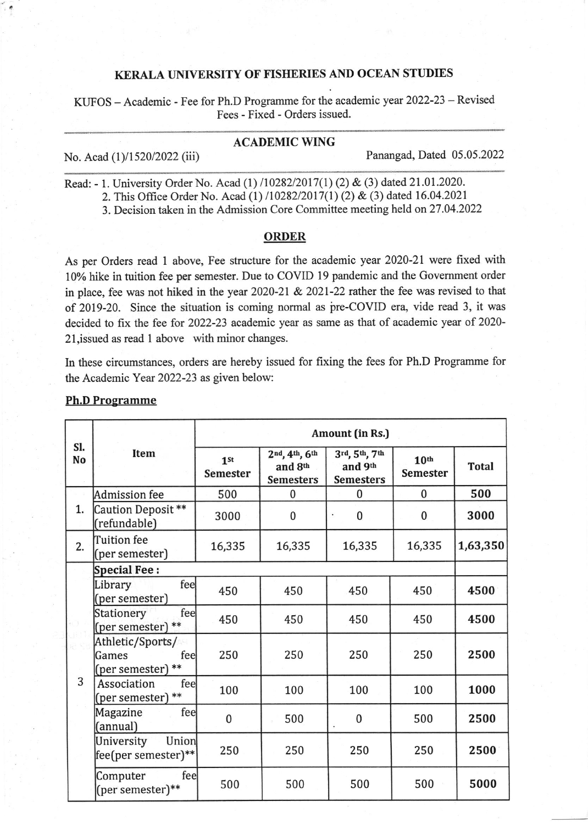## KERALA UNIVERSITY OF FISHERIES AND OCEAN STUDIES

KUFOS - Academic - Fee for Ph.D Programme for the academic year 2022-23 - Revised Fees - Fixed - Orders issued.

## ACADEMIC WING

No. Acad (1)/1520/2022 (iii) Panangad, Dated 05.05.2022

Read: - 1. University Order No. Acad (1) /10282/2017(1) (2) & (3) dated 21.01.2020.  $\frac{1}{2}$ .  $\overline{\phantom{a}}$ 

2. This Office Order No. Acad (1) /10282/2017(1) (2) & (3) dated 16.04.2021

3. Decision taken in the Admission Core Committee meeting held on 27 .04.2022

## ORDER

As per Orders read I above, Fee structure for the academic year 2020-21 were fixed with 10% hike in tuition fee per semester. Due to COVID 19 pandemic and the Govemment order in place, fee was not hiked in the year 2020-21 & 2021-22 rather the fee was revised to that of 2019-20. Since the situation is coming normal as pre-COVID era, vide read 3, it was decided to fix the fee for 2022-21 academic year as same as that of academic year of 2020- 2l,issued as read l above with minor changes.

In these circumstances, orders are hereby issued for fixing the fees for Ph.D Programme for the Academic Year 2022-23 as given below:

| SI.<br><b>No</b> | <b>Item</b>                                           | Amount (in Rs.)                    |                                              |                                              |                                     |              |  |
|------------------|-------------------------------------------------------|------------------------------------|----------------------------------------------|----------------------------------------------|-------------------------------------|--------------|--|
|                  |                                                       | 1 <sup>st</sup><br><b>Semester</b> | 2nd, 4th, 6th<br>and 8th<br><b>Semesters</b> | 3rd, 5th, 7th<br>and 9th<br><b>Semesters</b> | 10 <sup>th</sup><br><b>Semester</b> | <b>Total</b> |  |
| 1.               | <b>Admission</b> fee                                  | 500                                | 0                                            | $\mathbf{0}$                                 | $\bf{0}$                            | 500          |  |
|                  | Caution Deposit**<br>(refundable)                     | 3000                               | $\bf{0}$                                     | $\bf{0}$                                     | $\bf{0}$                            | 3000         |  |
| 2.               | Tuition fee<br>(per semester)                         | 16,335                             | 16,335                                       | 16,335                                       | 16,335                              | 1,63,350     |  |
|                  | <b>Special Fee:</b>                                   |                                    |                                              |                                              |                                     |              |  |
| 3                | fee<br>Library<br>(per semester)                      | 450                                | 450                                          | 450                                          | 450                                 | 4500         |  |
|                  | fee<br>Stationery<br>(per semester) **                | 450                                | 450                                          | 450                                          | 450                                 | 4500         |  |
|                  | Athletic/Sports/<br>Games<br>fee<br>(per semester) ** | 250                                | 250                                          | 250                                          | 250                                 | 2500         |  |
|                  | Association<br>fee<br>(per semester) **               | 100                                | 100                                          | 100                                          | 100                                 | 1000         |  |
|                  | fee<br>Magazine<br>(annual)                           | $\bf{0}$                           | 500                                          | $\bf{0}$                                     | 500                                 | 2500         |  |
|                  | Union<br>University<br>fee(per semester)**            | 250                                | 250                                          | 250                                          | 250                                 | 2500         |  |
|                  | feel<br>Computer<br>(per semester)**                  | 500                                | 500                                          | 500                                          | 500                                 | 5000         |  |

## Ph,D Programme